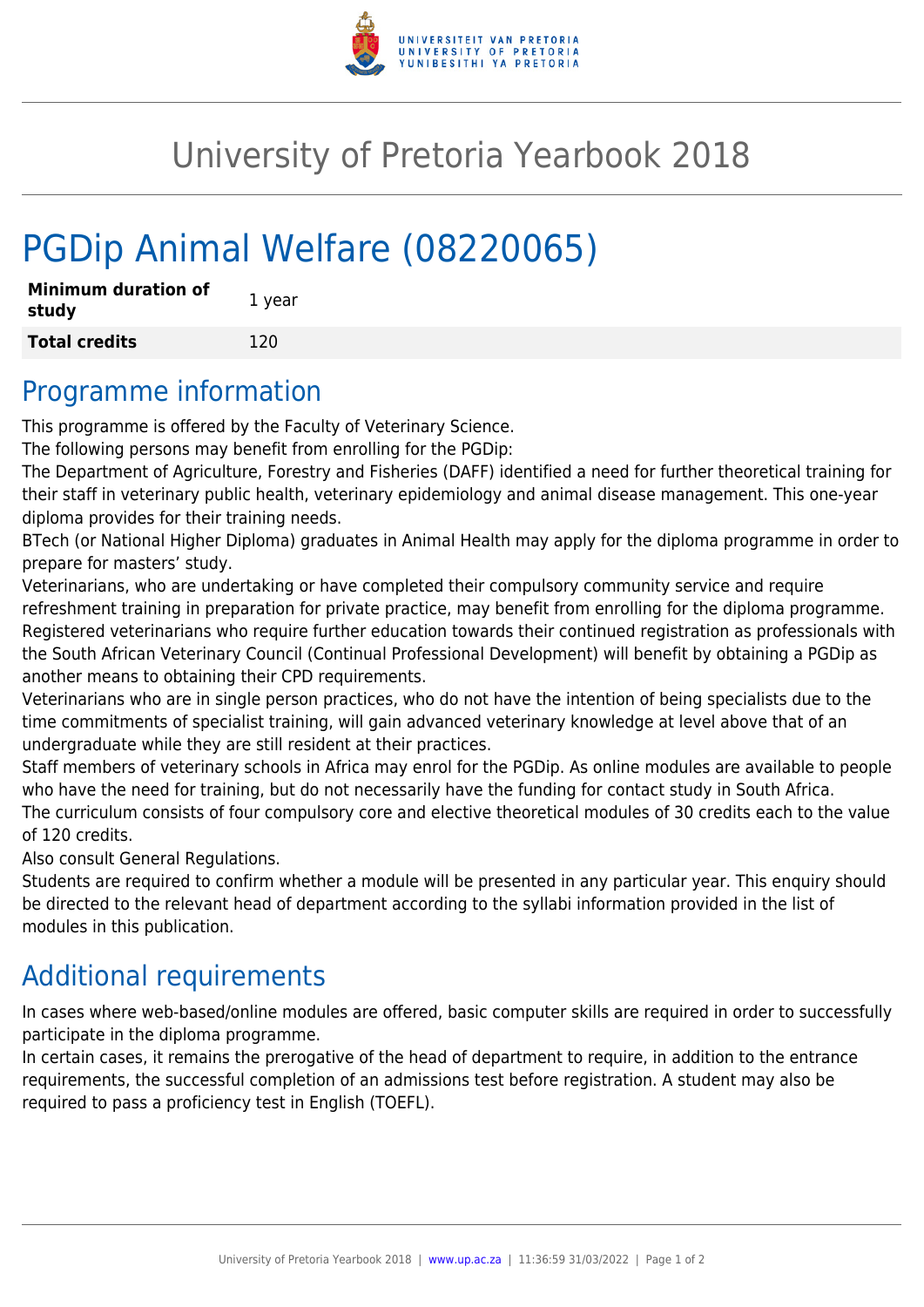

# University of Pretoria Yearbook 2018

# PGDip Animal Welfare (08220065)

| <b>Minimum duration of</b><br>study | 1 year |
|-------------------------------------|--------|
| <b>Total credits</b>                | 120    |

#### Programme information

This programme is offered by the Faculty of Veterinary Science.

The following persons may benefit from enrolling for the PGDip:

The Department of Agriculture, Forestry and Fisheries (DAFF) identified a need for further theoretical training for their staff in veterinary public health, veterinary epidemiology and animal disease management. This one-year diploma provides for their training needs.

BTech (or National Higher Diploma) graduates in Animal Health may apply for the diploma programme in order to prepare for masters' study.

Veterinarians, who are undertaking or have completed their compulsory community service and require refreshment training in preparation for private practice, may benefit from enrolling for the diploma programme. Registered veterinarians who require further education towards their continued registration as professionals with the South African Veterinary Council (Continual Professional Development) will benefit by obtaining a PGDip as another means to obtaining their CPD requirements.

Veterinarians who are in single person practices, who do not have the intention of being specialists due to the time commitments of specialist training, will gain advanced veterinary knowledge at level above that of an undergraduate while they are still resident at their practices.

Staff members of veterinary schools in Africa may enrol for the PGDip. As online modules are available to people who have the need for training, but do not necessarily have the funding for contact study in South Africa. The curriculum consists of four compulsory core and elective theoretical modules of 30 credits each to the value of 120 credits.

Also consult General Regulations.

Students are required to confirm whether a module will be presented in any particular year. This enquiry should be directed to the relevant head of department according to the syllabi information provided in the list of modules in this publication.

#### Additional requirements

In cases where web-based/online modules are offered, basic computer skills are required in order to successfully participate in the diploma programme.

In certain cases, it remains the prerogative of the head of department to require, in addition to the entrance requirements, the successful completion of an admissions test before registration. A student may also be required to pass a proficiency test in English (TOEFL).